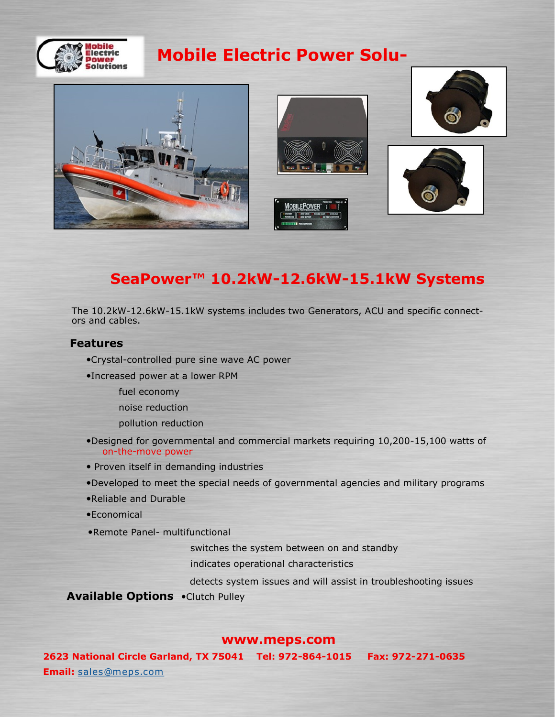

# **Mobile Electric Power Solu-**



## **SeaPower™ 10.2kW-12.6kW-15.1kW Systems**

The 10.2kW-12.6kW-15.1kW systems includes two Generators, ACU and specific connectors and cables.

#### **Features**

- Crystal-controlled pure sine wave AC power
- Increased power at a lower RPM
	- fuel economy
	- noise reduction
	- pollution reduction
- Designed for governmental and commercial markets requiring 10,200-15,100 watts of on-the-move power
- Proven itself in demanding industries
- Developed to meet the special needs of governmental agencies and military programs
- Reliable and Durable
- Economical
- Remote Panel- multifunctional

switches the system between on and standby

indicates operational characteristics

detects system issues and will assist in troubleshooting issues

**Available Options .**Clutch Pulley

#### **www.meps.com**

**2623 National Circle Garland, TX 75041 Tel: 972-864-1015 Fax: 972-271-0635 Email:** [sales@meps.com](mailto:sales@meps.com)